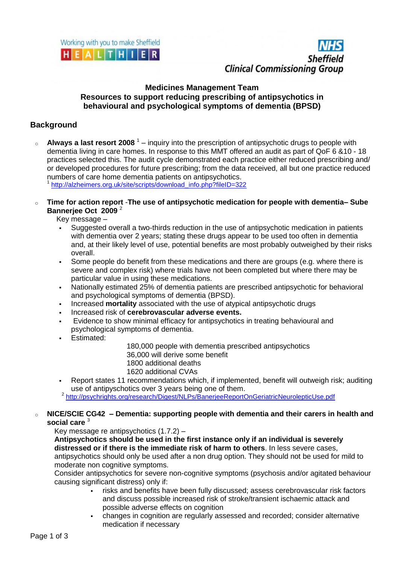



### **Medicines Management Team Resources to support reducing prescribing of antipsychotics in behavioural and psychological symptoms of dementia (BPSD)**

# **Background**

o **Always a last resort 2008**<sup>1</sup> – inquiry into the prescription of antipsychotic drugs to people with dementia living in care homes. In response to this MMT offered an audit as part of QoF 6 &10 - 18 practices selected this. The audit cycle demonstrated each practice either reduced prescribing and/ or developed procedures for future prescribing; from the data received, all but one practice reduced numbers of care home dementia patients on antipsychotics.

1 [http://alzheimers.org.uk/site/scripts/download\\_info.php?fileID=322](http://alzheimers.org.uk/site/scripts/download_info.php?fileID=322)

o **Time for action report** -**The use of antipsychotic medication for people with dementia– Sube Bannerjee Oct 2009** <sup>2</sup>

Key message –

- Suggested overall a two-thirds reduction in the use of antipsychotic medication in patients with dementia over 2 years; stating these drugs appear to be used too often in dementia and, at their likely level of use, potential benefits are most probably outweighed by their risks overall.
- Some people do benefit from these medications and there are groups (e.g. where there is severe and complex risk) where trials have not been completed but where there may be particular value in using these medications.
- Nationally estimated 25% of dementia patients are prescribed antipsychotic for behavioral and psychological symptoms of dementia (BPSD).
- Increased **mortality** associated with the use of atypical antipsychotic drugs
- Increased risk of **cerebrovascular adverse events.**
- Evidence to show minimal efficacy for antipsychotics in treating behavioural and psychological symptoms of dementia.
- Estimated:

180,000 people with dementia prescribed antipsychotics 36,000 will derive some benefit 1800 additional deaths 1620 additional CVAs

 Report states 11 recommendations which, if implemented, benefit will outweigh risk; auditing use of antipyschotics over 3 years being one of them.

<sup>2</sup> <http://psychrights.org/research/Digest/NLPs/BanerjeeReportOnGeriatricNeurolepticUse.pdf>

### o **NICE/SCIE CG42 – Dementia: supporting people with dementia and their carers in health and social care** <sup>3</sup>

Key message re antipsychotics (1.7.2) –

**Antipsychotics should be used in the first instance only if an individual is severely distressed or if there is the immediate risk of harm to others**. In less severe cases,

antipsychotics should only be used after a non drug option. They should not be used for mild to moderate non cognitive symptoms.

Consider antipsychotics for severe non-cognitive symptoms (psychosis and/or agitated behaviour causing significant distress) only if:

- risks and benefits have been fully discussed; assess cerebrovascular risk factors and discuss possible increased risk of stroke/transient ischaemic attack and possible adverse effects on cognition
- changes in cognition are regularly assessed and recorded; consider alternative medication if necessary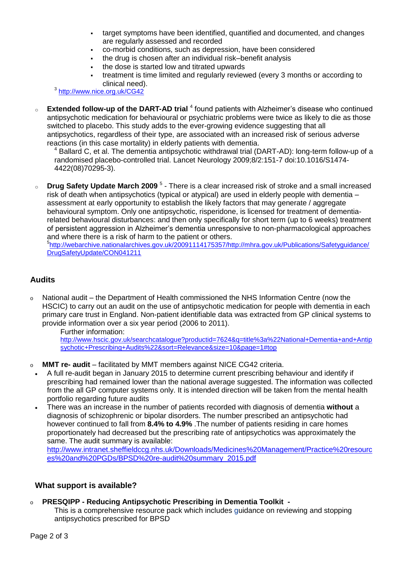- target symptoms have been identified, quantified and documented, and changes are regularly assessed and recorded
- co-morbid conditions, such as depression, have been considered
- the drug is chosen after an individual risk–benefit analysis
- the dose is started low and titrated upwards
- treatment is time limited and regularly reviewed (every 3 months or according to clinical need).

3 <http://www.nice.org.uk/CG42>

<sup>o</sup> Extended follow-up of the DART-AD trial <sup>4</sup> found patients with Alzheimer's disease who continued antipsychotic medication for behavioural or psychiatric problems were twice as likely to die as those switched to placebo. This study adds to the ever-growing evidence suggesting that all antipsychotics, regardless of their type, are associated with an increased risk of serious adverse reactions (in this case mortality) in elderly patients with dementia.

<sup>4</sup> Ballard C, et al. The dementia antipsychotic withdrawal trial (DART-AD): long-term follow-up of a randomised placebo-controlled trial. Lancet Neurology 2009;8/2:151-7 doi:10.1016/S1474- 4422(08)70295-3).

o **Drug Safety Update March 2009**<sup>5</sup> - There is a clear increased risk of stroke and a small increased risk of death when antipsychotics (typical or atypical) are used in elderly people with dementia – assessment at early opportunity to establish the likely factors that may generate / aggregate behavioural symptom. Only one antipsychotic, risperidone, is licensed for treatment of dementiarelated behavioural disturbances: and then only specifically for short term (up to 6 weeks) treatment of persistent aggression in Alzheimer's dementia unresponsive to non-pharmacological approaches and where there is a risk of harm to the patient or others. <sup>5</sup>[http://webarchive.nationalarchives.gov.uk/20091114175357/http://mhra.gov.uk/Publications/Safetyguidance/](http://webarchive.nationalarchives.gov.uk/20091114175357/http:/mhra.gov.uk/Publications/Safetyguidance/DrugSafetyUpdate/CON041211) [DrugSafetyUpdate/CON041211](http://webarchive.nationalarchives.gov.uk/20091114175357/http:/mhra.gov.uk/Publications/Safetyguidance/DrugSafetyUpdate/CON041211)

## **Audits**

o National audit – the Department of Health commissioned the NHS Information Centre (now the HSCIC) to carry out an audit on the use of antipsychotic medication for people with dementia in each primary care trust in England. Non-patient identifiable data was extracted from GP clinical systems to provide information over a six year period (2006 to 2011).

Further information:

[http://www.hscic.gov.uk/searchcatalogue?productid=7624&q=title%3a%22National+Dementia+and+Antip](http://www.hscic.gov.uk/searchcatalogue?productid=7624&q=title%3a%22National+Dementia+and+Antipsychotic+Prescribing+Audits%22&sort=Relevance&size=10&page=1#top 
) [sychotic+Prescribing+Audits%22&sort=Relevance&size=10&page=1#top](http://www.hscic.gov.uk/searchcatalogue?productid=7624&q=title%3a%22National+Dementia+and+Antipsychotic+Prescribing+Audits%22&sort=Relevance&size=10&page=1#top 
) 

- o **MMT re- audit** facilitated by MMT members against NICE CG42 criteria.
- A full re-audit began in January 2015 to determine current prescribing behaviour and identify if prescribing had remained lower than the national average suggested. The information was collected from the all GP computer systems only. It is intended direction will be taken from the mental health portfolio regarding future audits
- There was an increase in the number of patients recorded with diagnosis of dementia **without** a diagnosis of schizophrenic or bipolar disorders. The number prescribed an antipsychotic had however continued to fall from **8.4% to 4.9%** .The number of patients residing in care homes proportionately had decreased but the prescribing rate of antipsychotics was approximately the same. The audit summary is available:

[http://www.intranet.sheffieldccg.nhs.uk/Downloads/Medicines%20Management/Practice%20resourc](http://www.intranet.sheffieldccg.nhs.uk/Downloads/Medicines%20Management/Practice%20resources%20and%20PGDs/BPSD%20re-audit%20summary_2015.pdf) [es%20and%20PGDs/BPSD%20re-audit%20summary\\_2015.pdf](http://www.intranet.sheffieldccg.nhs.uk/Downloads/Medicines%20Management/Practice%20resources%20and%20PGDs/BPSD%20re-audit%20summary_2015.pdf)

### **What support is available?**

### o **PRESQIPP - Reducing Antipsychotic Prescribing in Dementia Toolkit -**

This is a comprehensive resource pack which includes guidance on reviewing and stopping antipsychotics prescribed for BPSD